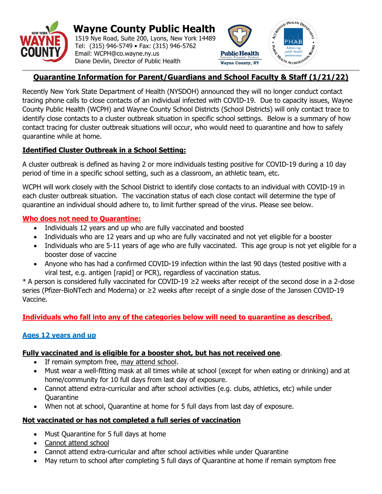

 **Wayne County Public Health**  1519 Nye Road, Suite 200, Lyons, New York 14489 Tel: (315) 946-5749 • Fax: (315) 946-5762 Email: WCPH@co.wayne.ny.us Diane Devlin, Director of Public Health



# **Quarantine Information for Parent/Guardians and School Faculty & Staff (1/21/22)**

Recently New York State Department of Health (NYSDOH) announced they will no longer conduct contact tracing phone calls to close contacts of an individual infected with COVID-19. Due to capacity issues, Wayne County Public Health (WCPH) and Wayne County School Districts (School Districts) will only contact trace to identify close contacts to a cluster outbreak situation in specific school settings. Below is a summary of how contact tracing for cluster outbreak situations will occur, who would need to quarantine and how to safely quarantine while at home.

## **Identified Cluster Outbreak in a School Setting:**

A cluster outbreak is defined as having 2 or more individuals testing positive for COVID-19 during a 10 day period of time in a specific school setting, such as a classroom, an athletic team, etc.

WCPH will work closely with the School District to identify close contacts to an individual with COVID-19 in each cluster outbreak situation. The vaccination status of each close contact will determine the type of quarantine an individual should adhere to, to limit further spread of the virus. Please see below.

## **Who does not need to Quarantine:**

- Individuals 12 years and up who are fully vaccinated and boosted
- Individuals who are 12 years and up who are fully vaccinated and not yet eligible for a booster
- Individuals who are 5-11 years of age who are fully vaccinated. This age group is not yet eligible for a booster dose of vaccine
- Anyone who has had a confirmed COVID-19 infection within the last 90 days (tested positive with a viral test, e.g. antigen [rapid] or PCR), regardless of vaccination status.

\* A person is considered fully vaccinated for COVID-19 ≥2 weeks after receipt of the second dose in a 2-dose series (Pfizer-BioNTech and Moderna) or ≥2 weeks after receipt of a single dose of the Janssen COVID-19 Vaccine.

## **Individuals who fall into any of the categories below will need to quarantine as described.**

## **Ages 12 years and up**

### **Fully vaccinated and is eligible for a booster shot, but has not received one**.

- If remain symptom free, may attend school.
- Must wear a well-fitting mask at all times while at school (except for when eating or drinking) and at home/community for 10 full days from last day of exposure.
- Cannot attend extra-curricular and after school activities (e.g. clubs, athletics, etc) while under Quarantine
- When not at school, Quarantine at home for 5 full days from last day of exposure.

## **Not vaccinated or has not completed a full series of vaccination**

- Must Quarantine for 5 full days at home
- Cannot attend school
- Cannot attend extra-curricular and after school activities while under Quarantine
- May return to school after completing 5 full days of Quarantine at home if remain symptom free